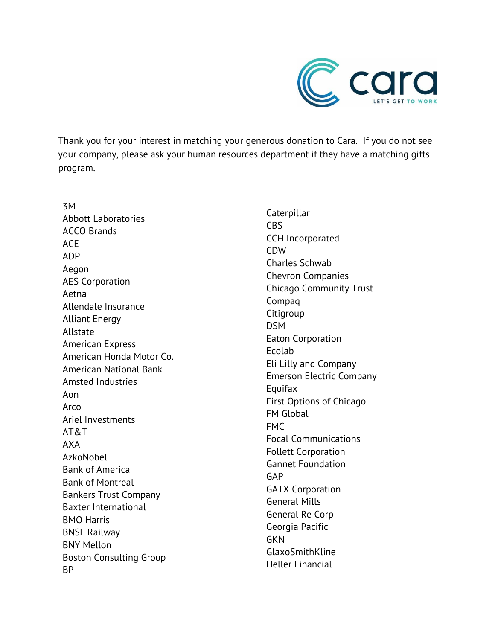

Thank you for your interest in matching your generous donation to Cara. If you do not see your company, please ask your human resources department if they have a matching gifts program.

3M Abbott Laboratories ACCO Brands ACE ADP Aegon AES Corporation Aetna Allendale Insurance Alliant Energy Allstate American Express American Honda Motor Co. American National Bank Amsted Industries Aon Arco Ariel Investments AT&T AXA AzkoNobel Bank of America Bank of Montreal Bankers Trust Company Baxter International BMO Harris BNSF Railway BNY Mellon Boston Consulting Group BP

Caterpillar CBS CCH Incorporated CDW Charles Schwab Chevron Companies Chicago Community Trust Compaq **Citigroup** DSM Eaton Corporation Ecolab Eli Lilly and Company Emerson Electric Company Equifax First Options of Chicago FM Global FMC Focal Communications Follett Corporation Gannet Foundation GAP GATX Corporation General Mills General Re Corp Georgia Pacific **GKN** GlaxoSmithKline Heller Financial